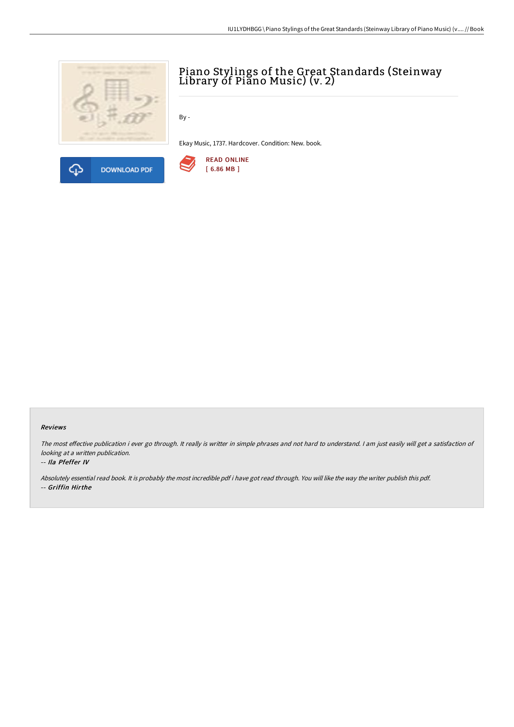



# Piano Stylings of the Great Standards (Steinway Library of Piano Music) (v. 2)

By -

Ekay Music, 1737. Hardcover. Condition: New. book.



#### Reviews

The most effective publication i ever go through. It really is writter in simple phrases and not hard to understand. I am just easily will get a satisfaction of looking at <sup>a</sup> written publication.

#### -- Ila Pfeffer IV

Absolutely essential read book. It is probably the most incredible pdf i have got read through. You will like the way the writer publish this pdf. -- Griffin Hirthe